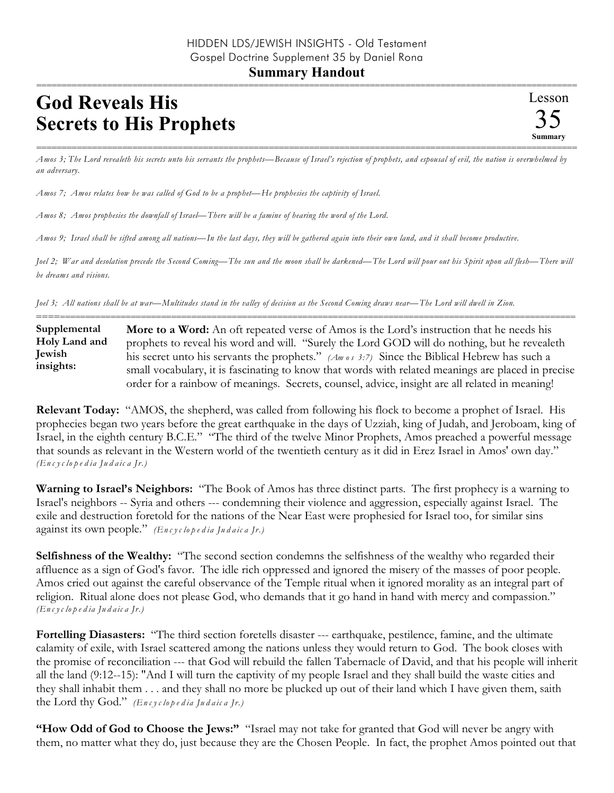## **God Reveals His Secrets to His Prophets**

=========================================================================================================== *Amos 3; The Lord revealeth his secrets unto his servants the prophets—Because of Israel's rejection of prophets, and espousal of evil, the nation is overwhelmed by an adversary.*

*Amos 7; Amos relates how he was called of God to be a prophet—He prophesies the captivity of Israel.* 

*Amos 8; Amos prophesies the downfall of Israel—There will be a famine of hearing the word of the Lord.*

*Amos 9; Israel shall be sifted among all nations—In the last days, they will be gathered again into their own land, and it shall become productive.*

*Joel 2; War and desolation precede the Second Coming—The sun and the moon shall be darkened—The Lord will pour out his Spirit upon all flesh—There will be dreams and visions.*

*Joel 3; All nations shall be at war—Multitudes stand in the valley of decision as the Second Coming draws near—The Lord will dwell in Zion.*

========================================================================================================== **More to a Word:** An oft repeated verse of Amos is the Lord's instruction that he needs his prophets to reveal his word and will. "Surely the Lord GOD will do nothing, but he revealeth his secret unto his servants the prophets." *(Am o s 3:7)* Since the Biblical Hebrew has such a small vocabulary, it is fascinating to know that words with related meanings are placed in precise order for a rainbow of meanings. Secrets, counsel, advice, insight are all related in meaning! **Supplemental Holy Land and Jewish insights:**

**Relevant Today:** "AMOS, the shepherd, was called from following his flock to become a prophet of Israel. His prophecies began two years before the great earthquake in the days of Uzziah, king of Judah, and Jeroboam, king of Israel, in the eighth century B.C.E." "The third of the twelve Minor Prophets, Amos preached a powerful message that sounds as relevant in the Western world of the twentieth century as it did in Erez Israel in Amos' own day." *(En c y c lo p e d ia Ju d a ic a Jr.)*

**Warning to Israel's Neighbors:** "The Book of Amos has three distinct parts. The first prophecy is a warning to Israel's neighbors -- Syria and others --- condemning their violence and aggression, especially against Israel. The exile and destruction foretold for the nations of the Near East were prophesied for Israel too, for similar sins against its own people." *(En c y c lo p e d ia Ju d a ic a Jr.)*

**Selfishness of the Wealthy:** "The second section condemns the selfishness of the wealthy who regarded their affluence as a sign of God's favor. The idle rich oppressed and ignored the misery of the masses of poor people. Amos cried out against the careful observance of the Temple ritual when it ignored morality as an integral part of religion. Ritual alone does not please God, who demands that it go hand in hand with mercy and compassion." *(En c y c lo p e d ia Ju d a ic a Jr.)*

**Fortelling Diasasters:** "The third section foretells disaster --- earthquake, pestilence, famine, and the ultimate calamity of exile, with Israel scattered among the nations unless they would return to God. The book closes with the promise of reconciliation --- that God will rebuild the fallen Tabernacle of David, and that his people will inherit all the land (9:12--15): "And I will turn the captivity of my people Israel and they shall build the waste cities and they shall inhabit them . . . and they shall no more be plucked up out of their land which I have given them, saith the Lord thy God." *(En c y c lo p e d ia Ju d a ic a Jr.)*

**"How Odd of God to Choose the Jews:"** "Israel may not take for granted that God will never be angry with them, no matter what they do, just because they are the Chosen People. In fact, the prophet Amos pointed out that